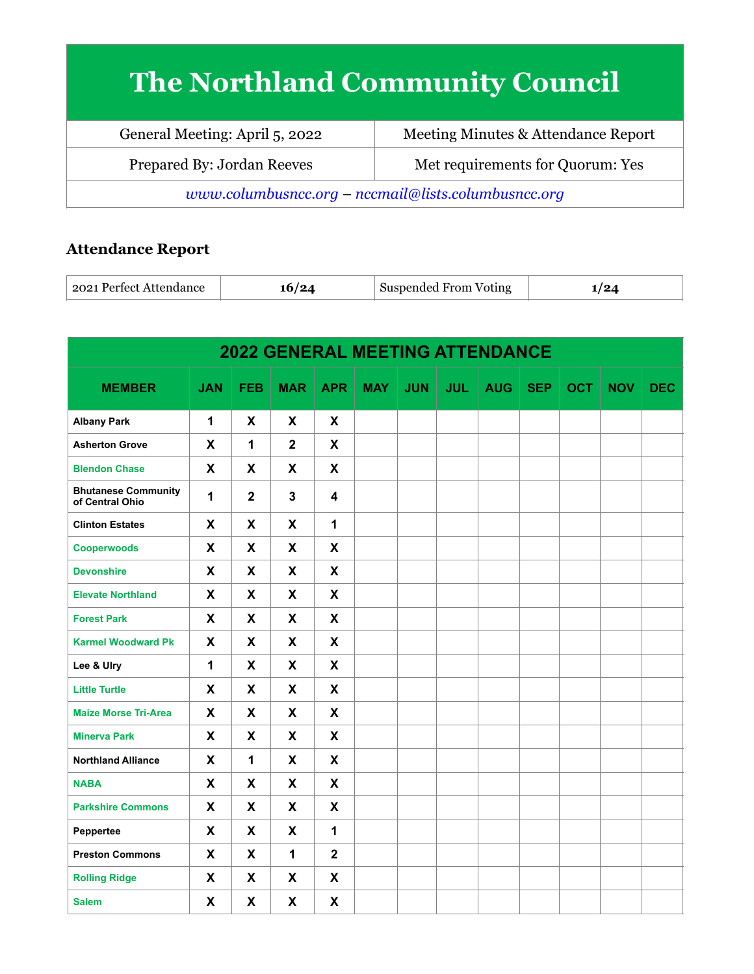## **The Northland Community Council**

| General Meeting: April 5, 2022                      | Meeting Minutes & Attendance Report |  |  |  |  |
|-----------------------------------------------------|-------------------------------------|--|--|--|--|
| Prepared By: Jordan Reeves                          | Met requirements for Quorum: Yes    |  |  |  |  |
| www.columbusncc.org - nccmail@lists.columbusncc.org |                                     |  |  |  |  |

## **Attendance Report**

| 2021 Perfect Attendance | $12\Delta$ | Suspended From Voting | £ |
|-------------------------|------------|-----------------------|---|
|-------------------------|------------|-----------------------|---|

| <b>2022 GENERAL MEETING ATTENDANCE</b>        |              |                           |              |                           |            |            |            |            |            |            |            |            |
|-----------------------------------------------|--------------|---------------------------|--------------|---------------------------|------------|------------|------------|------------|------------|------------|------------|------------|
| <b>MEMBER</b>                                 | <b>JAN</b>   | <b>FEB</b>                | <b>MAR</b>   | <b>APR</b>                | <b>MAY</b> | <b>JUN</b> | <b>JUL</b> | <b>AUG</b> | <b>SEP</b> | <b>OCT</b> | <b>NOV</b> | <b>DEC</b> |
| <b>Albany Park</b>                            | $\mathbf{1}$ | X                         | X            | X                         |            |            |            |            |            |            |            |            |
| <b>Asherton Grove</b>                         | X            | 1                         | $\mathbf{2}$ | X                         |            |            |            |            |            |            |            |            |
| <b>Blendon Chase</b>                          | X            | X                         | X            | X                         |            |            |            |            |            |            |            |            |
| <b>Bhutanese Community</b><br>of Central Ohio | $\mathbf{1}$ | $\mathbf 2$               | $\mathbf{3}$ | 4                         |            |            |            |            |            |            |            |            |
| <b>Clinton Estates</b>                        | X            | X                         | X            | $\mathbf{1}$              |            |            |            |            |            |            |            |            |
| <b>Cooperwoods</b>                            | X            | X                         | X            | X                         |            |            |            |            |            |            |            |            |
| <b>Devonshire</b>                             | X            | X                         | X            | X                         |            |            |            |            |            |            |            |            |
| <b>Elevate Northland</b>                      | X            | X                         | X            | X                         |            |            |            |            |            |            |            |            |
| <b>Forest Park</b>                            | X            | X                         | X            | X                         |            |            |            |            |            |            |            |            |
| <b>Karmel Woodward Pk</b>                     | X            | X                         | X            | X                         |            |            |            |            |            |            |            |            |
| Lee & Ulry                                    | $\mathbf{1}$ | X                         | X            | X                         |            |            |            |            |            |            |            |            |
| <b>Little Turtle</b>                          | X            | X                         | X            | X                         |            |            |            |            |            |            |            |            |
| <b>Maize Morse Tri-Area</b>                   | X            | X                         | X            | X                         |            |            |            |            |            |            |            |            |
| <b>Minerva Park</b>                           | $\mathsf{x}$ | X                         | X            | X                         |            |            |            |            |            |            |            |            |
| <b>Northland Alliance</b>                     | X            | 1                         | X            | X                         |            |            |            |            |            |            |            |            |
| <b>NABA</b>                                   | $\mathsf{x}$ | $\boldsymbol{\mathsf{X}}$ | $\mathbf{x}$ | $\boldsymbol{\mathsf{X}}$ |            |            |            |            |            |            |            |            |
| <b>Parkshire Commons</b>                      | X            | X                         | X            | X                         |            |            |            |            |            |            |            |            |
| Peppertee                                     | X            | $\boldsymbol{\mathsf{X}}$ | X            | $\mathbf{1}$              |            |            |            |            |            |            |            |            |
| <b>Preston Commons</b>                        | X            | X                         | 1            | $\overline{2}$            |            |            |            |            |            |            |            |            |
| <b>Rolling Ridge</b>                          | X            | X                         | X            | X                         |            |            |            |            |            |            |            |            |
| <b>Salem</b>                                  | X            | X                         | X            | X                         |            |            |            |            |            |            |            |            |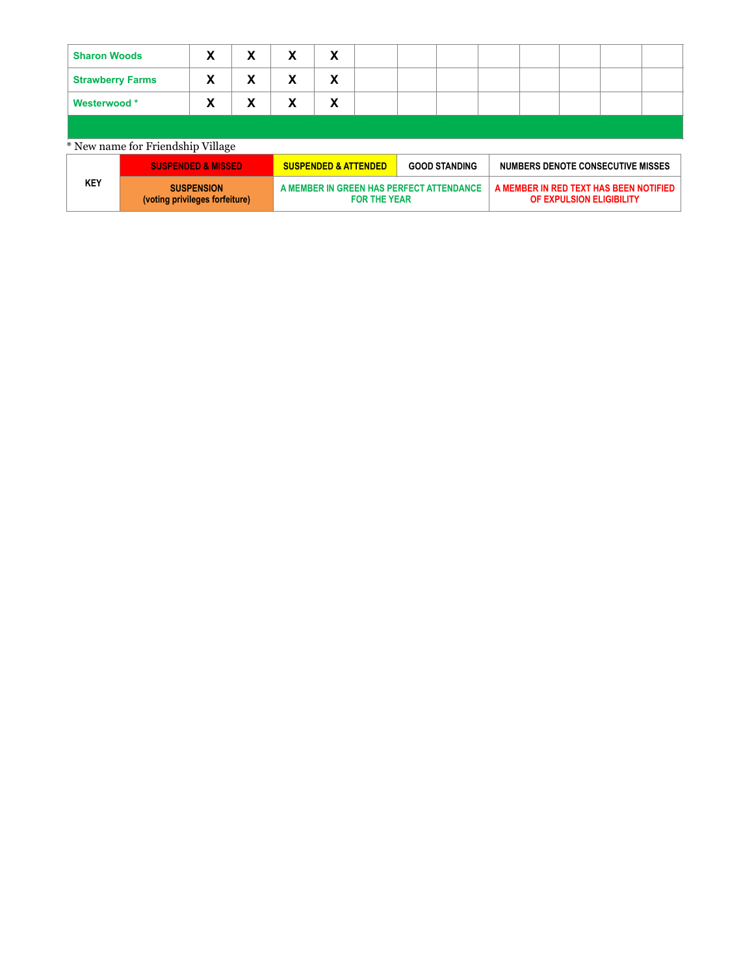| <b>Sharon Woods</b>               |                                                     | χ                             | X | х                                                               | X                               |  |  |                      |                                                                    |                                   |  |  |  |
|-----------------------------------|-----------------------------------------------------|-------------------------------|---|-----------------------------------------------------------------|---------------------------------|--|--|----------------------|--------------------------------------------------------------------|-----------------------------------|--|--|--|
| <b>Strawberry Farms</b>           |                                                     | Х                             | х | х                                                               | X                               |  |  |                      |                                                                    |                                   |  |  |  |
| Westerwood *                      |                                                     | χ                             | х | х                                                               | χ                               |  |  |                      |                                                                    |                                   |  |  |  |
|                                   |                                                     |                               |   |                                                                 |                                 |  |  |                      |                                                                    |                                   |  |  |  |
| * New name for Friendship Village |                                                     |                               |   |                                                                 |                                 |  |  |                      |                                                                    |                                   |  |  |  |
|                                   |                                                     | <b>SUSPENDED &amp; MISSED</b> |   |                                                                 | <b>SUSPENDED &amp; ATTENDED</b> |  |  | <b>GOOD STANDING</b> |                                                                    | NUMBERS DENOTE CONSECUTIVE MISSES |  |  |  |
| <b>KEY</b>                        | <b>SUSPENSION</b><br>(voting privileges forfeiture) |                               |   | A MEMBER IN GREEN HAS PERFECT ATTENDANCE<br><b>FOR THE YEAR</b> |                                 |  |  |                      | A MEMBER IN RED TEXT HAS BEEN NOTIFIED<br>OF EXPULSION ELIGIBILITY |                                   |  |  |  |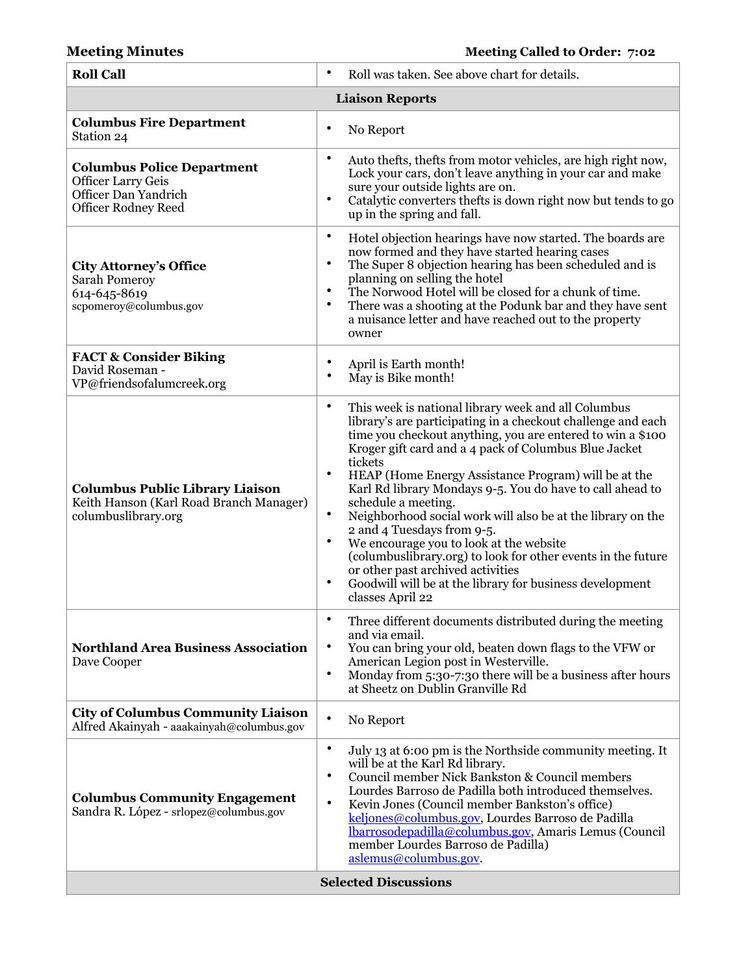## **Meeting Minutes Meeting Called to Order: 7:02**

| <b>Roll Call</b>                                                                                                     | Roll was taken. See above chart for details.<br>$\bullet$                                                                                                                                                                                                                                                                                                                                                                                                                                                                                                                                                                                                                                                                                                                       |  |  |  |  |  |
|----------------------------------------------------------------------------------------------------------------------|---------------------------------------------------------------------------------------------------------------------------------------------------------------------------------------------------------------------------------------------------------------------------------------------------------------------------------------------------------------------------------------------------------------------------------------------------------------------------------------------------------------------------------------------------------------------------------------------------------------------------------------------------------------------------------------------------------------------------------------------------------------------------------|--|--|--|--|--|
| <b>Liaison Reports</b>                                                                                               |                                                                                                                                                                                                                                                                                                                                                                                                                                                                                                                                                                                                                                                                                                                                                                                 |  |  |  |  |  |
| <b>Columbus Fire Department</b><br>Station 24                                                                        | ٠<br>No Report                                                                                                                                                                                                                                                                                                                                                                                                                                                                                                                                                                                                                                                                                                                                                                  |  |  |  |  |  |
| <b>Columbus Police Department</b><br><b>Officer Larry Geis</b><br>Officer Dan Yandrich<br><b>Officer Rodney Reed</b> | ٠<br>Auto thefts, thefts from motor vehicles, are high right now,<br>Lock your cars, don't leave anything in your car and make<br>sure your outside lights are on.<br>$\bullet$<br>Catalytic converters thefts is down right now but tends to go<br>up in the spring and fall.                                                                                                                                                                                                                                                                                                                                                                                                                                                                                                  |  |  |  |  |  |
| <b>City Attorney's Office</b><br>Sarah Pomeroy<br>614-645-8619<br>scpomeroy@columbus.gov                             | ٠<br>Hotel objection hearings have now started. The boards are<br>now formed and they have started hearing cases<br>$\bullet$<br>The Super 8 objection hearing has been scheduled and is<br>planning on selling the hotel<br>The Norwood Hotel will be closed for a chunk of time.<br>$\bullet$<br>There was a shooting at the Podunk bar and they have sent<br>$\bullet$<br>a nuisance letter and have reached out to the property<br>owner                                                                                                                                                                                                                                                                                                                                    |  |  |  |  |  |
| <b>FACT &amp; Consider Biking</b><br>David Roseman -<br>VP@friendsofalumcreek.org                                    | ٠<br>April is Earth month!<br>$\bullet$<br>May is Bike month!                                                                                                                                                                                                                                                                                                                                                                                                                                                                                                                                                                                                                                                                                                                   |  |  |  |  |  |
| <b>Columbus Public Library Liaison</b><br>Keith Hanson (Karl Road Branch Manager)<br>columbuslibrary.org             | $\bullet$<br>This week is national library week and all Columbus<br>library's are participating in a checkout challenge and each<br>time you checkout anything, you are entered to win a \$100<br>Kroger gift card and a 4 pack of Columbus Blue Jacket<br>tickets<br>$\bullet$<br>HEAP (Home Energy Assistance Program) will be at the<br>Karl Rd library Mondays 9-5. You do have to call ahead to<br>schedule a meeting.<br>$\bullet$<br>Neighborhood social work will also be at the library on the<br>2 and 4 Tuesdays from 9-5.<br>We encourage you to look at the website<br>٠<br>(columbuslibrary.org) to look for other events in the future<br>or other past archived activities<br>Goodwill will be at the library for business development<br>٠<br>classes April 22 |  |  |  |  |  |
| <b>Northland Area Business Association</b><br>Dave Cooper                                                            | Three different documents distributed during the meeting<br>٠<br>and via email.<br>٠<br>You can bring your old, beaten down flags to the VFW or<br>American Legion post in Westerville.<br>$\bullet$<br>Monday from 5:30-7:30 there will be a business after hours<br>at Sheetz on Dublin Granville Rd                                                                                                                                                                                                                                                                                                                                                                                                                                                                          |  |  |  |  |  |
| <b>City of Columbus Community Liaison</b><br>Alfred Akainyah - aaakainyah@columbus.gov                               | $\bullet$<br>No Report                                                                                                                                                                                                                                                                                                                                                                                                                                                                                                                                                                                                                                                                                                                                                          |  |  |  |  |  |
| <b>Columbus Community Engagement</b><br>Sandra R. López - srlopez@columbus.gov                                       | $\bullet$<br>July 13 at 6:00 pm is the Northside community meeting. It<br>will be at the Karl Rd library.<br>$\bullet$<br>Council member Nick Bankston & Council members<br>Lourdes Barroso de Padilla both introduced themselves.<br>$\bullet$<br>Kevin Jones (Council member Bankston's office)<br>keljones@columbus.gov, Lourdes Barroso de Padilla<br>lbarrosodepadilla@columbus.gov, Amaris Lemus (Council<br>member Lourdes Barroso de Padilla)<br>aslemus@columbus.gov.                                                                                                                                                                                                                                                                                                  |  |  |  |  |  |
| <b>Selected Discussions</b>                                                                                          |                                                                                                                                                                                                                                                                                                                                                                                                                                                                                                                                                                                                                                                                                                                                                                                 |  |  |  |  |  |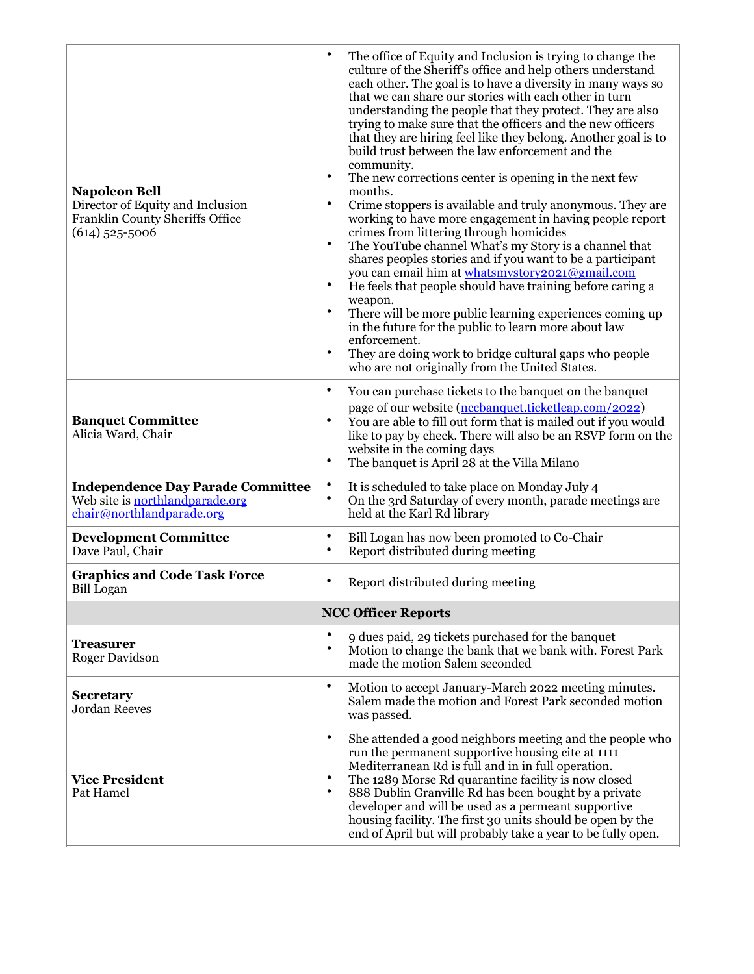| <b>Napoleon Bell</b><br>Director of Equity and Inclusion<br>Franklin County Sheriffs Office<br>$(614)$ 525-5006 | ٠<br>The office of Equity and Inclusion is trying to change the<br>culture of the Sheriff's office and help others understand<br>each other. The goal is to have a diversity in many ways so<br>that we can share our stories with each other in turn<br>understanding the people that they protect. They are also<br>trying to make sure that the officers and the new officers<br>that they are hiring feel like they belong. Another goal is to<br>build trust between the law enforcement and the<br>community.<br>$\bullet$<br>The new corrections center is opening in the next few<br>months.<br>$\bullet$<br>Crime stoppers is available and truly anonymous. They are<br>working to have more engagement in having people report<br>crimes from littering through homicides<br>$\bullet$<br>The YouTube channel What's my Story is a channel that<br>shares peoples stories and if you want to be a participant<br>you can email him at whatsmystory2021@gmail.com<br>He feels that people should have training before caring a<br>$\bullet$<br>weapon.<br>$\bullet$<br>There will be more public learning experiences coming up<br>in the future for the public to learn more about law<br>enforcement.<br>$\bullet$<br>They are doing work to bridge cultural gaps who people<br>who are not originally from the United States. |
|-----------------------------------------------------------------------------------------------------------------|--------------------------------------------------------------------------------------------------------------------------------------------------------------------------------------------------------------------------------------------------------------------------------------------------------------------------------------------------------------------------------------------------------------------------------------------------------------------------------------------------------------------------------------------------------------------------------------------------------------------------------------------------------------------------------------------------------------------------------------------------------------------------------------------------------------------------------------------------------------------------------------------------------------------------------------------------------------------------------------------------------------------------------------------------------------------------------------------------------------------------------------------------------------------------------------------------------------------------------------------------------------------------------------------------------------------------------------------|
| <b>Banquet Committee</b><br>Alicia Ward, Chair                                                                  | $\bullet$<br>You can purchase tickets to the banquet on the banquet<br>page of our website (nccbanquet.ticketleap.com/2022)<br>You are able to fill out form that is mailed out if you would<br>$\bullet$<br>like to pay by check. There will also be an RSVP form on the<br>website in the coming days<br>$\bullet$<br>The banquet is April 28 at the Villa Milano                                                                                                                                                                                                                                                                                                                                                                                                                                                                                                                                                                                                                                                                                                                                                                                                                                                                                                                                                                        |
| <b>Independence Day Parade Committee</b><br>Web site is northlandparade.org<br>chair@northlandparade.org        | $\bullet$<br>It is scheduled to take place on Monday July 4<br>$\bullet$<br>On the 3rd Saturday of every month, parade meetings are<br>held at the Karl Rd library                                                                                                                                                                                                                                                                                                                                                                                                                                                                                                                                                                                                                                                                                                                                                                                                                                                                                                                                                                                                                                                                                                                                                                         |
| <b>Development Committee</b><br>Dave Paul, Chair                                                                | ٠<br>Bill Logan has now been promoted to Co-Chair<br>$\bullet$<br>Report distributed during meeting                                                                                                                                                                                                                                                                                                                                                                                                                                                                                                                                                                                                                                                                                                                                                                                                                                                                                                                                                                                                                                                                                                                                                                                                                                        |
| <b>Graphics and Code Task Force</b><br><b>Bill Logan</b>                                                        | $\bullet$<br>Report distributed during meeting                                                                                                                                                                                                                                                                                                                                                                                                                                                                                                                                                                                                                                                                                                                                                                                                                                                                                                                                                                                                                                                                                                                                                                                                                                                                                             |
|                                                                                                                 | <b>NCC Officer Reports</b>                                                                                                                                                                                                                                                                                                                                                                                                                                                                                                                                                                                                                                                                                                                                                                                                                                                                                                                                                                                                                                                                                                                                                                                                                                                                                                                 |
| <b>Treasurer</b><br>Roger Davidson                                                                              | $\bullet$<br>9 dues paid, 29 tickets purchased for the banquet<br>Motion to change the bank that we bank with. Forest Park<br>$\bullet$<br>made the motion Salem seconded                                                                                                                                                                                                                                                                                                                                                                                                                                                                                                                                                                                                                                                                                                                                                                                                                                                                                                                                                                                                                                                                                                                                                                  |
| <b>Secretary</b><br><b>Jordan Reeves</b>                                                                        | $\bullet$<br>Motion to accept January-March 2022 meeting minutes.<br>Salem made the motion and Forest Park seconded motion<br>was passed.                                                                                                                                                                                                                                                                                                                                                                                                                                                                                                                                                                                                                                                                                                                                                                                                                                                                                                                                                                                                                                                                                                                                                                                                  |
| <b>Vice President</b><br>Pat Hamel                                                                              | $\bullet$<br>She attended a good neighbors meeting and the people who<br>run the permanent supportive housing cite at 1111<br>Mediterranean Rd is full and in in full operation.<br>The 1289 Morse Rd quarantine facility is now closed<br>٠<br>$\bullet$<br>888 Dublin Granville Rd has been bought by a private<br>developer and will be used as a permeant supportive<br>housing facility. The first 30 units should be open by the<br>end of April but will probably take a year to be fully open.                                                                                                                                                                                                                                                                                                                                                                                                                                                                                                                                                                                                                                                                                                                                                                                                                                     |